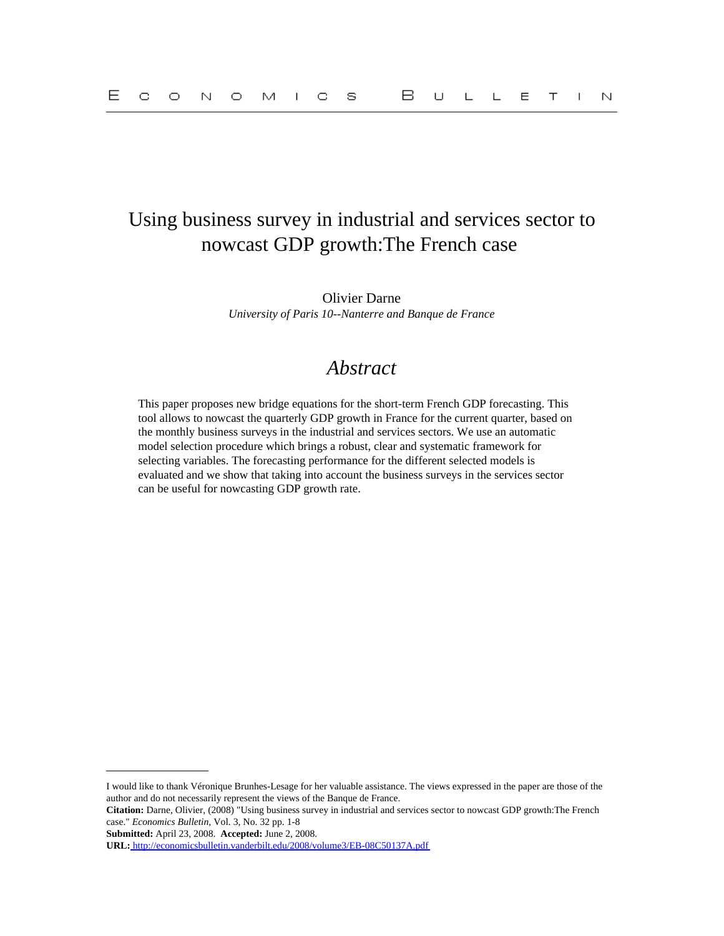## Using business survey in industrial and services sector to nowcast GDP growth:The French case

Olivier Darne *University of Paris 10--Nanterre and Banque de France*

## *Abstract*

This paper proposes new bridge equations for the short-term French GDP forecasting. This tool allows to nowcast the quarterly GDP growth in France for the current quarter, based on the monthly business surveys in the industrial and services sectors. We use an automatic model selection procedure which brings a robust, clear and systematic framework for selecting variables. The forecasting performance for the different selected models is evaluated and we show that taking into account the business surveys in the services sector can be useful for nowcasting GDP growth rate.

**Submitted:** April 23, 2008. **Accepted:** June 2, 2008.

I would like to thank Véronique Brunhes-Lesage for her valuable assistance. The views expressed in the paper are those of the author and do not necessarily represent the views of the Banque de France.

**Citation:** Darne, Olivier, (2008) "Using business survey in industrial and services sector to nowcast GDP growth:The French case." *Economics Bulletin,* Vol. 3, No. 32 pp. 1-8

**URL:**<http://economicsbulletin.vanderbilt.edu/2008/volume3/EB-08C50137A.pdf>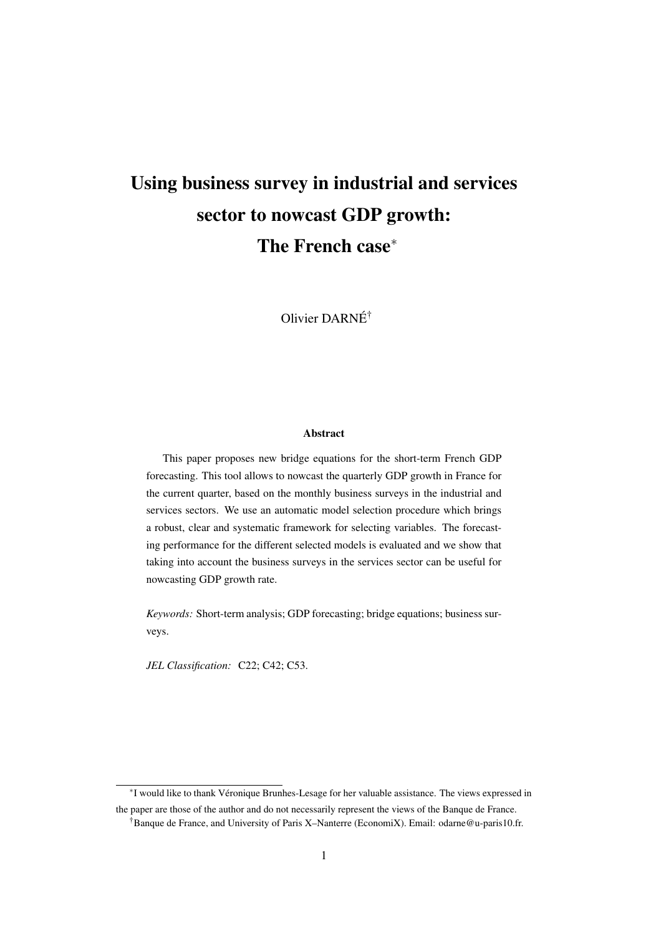# Using business survey in industrial and services sector to nowcast GDP growth: The French case<sup>∗</sup>

Olivier DARNÉ†

#### Abstract

This paper proposes new bridge equations for the short-term French GDP forecasting. This tool allows to nowcast the quarterly GDP growth in France for the current quarter, based on the monthly business surveys in the industrial and services sectors. We use an automatic model selection procedure which brings a robust, clear and systematic framework for selecting variables. The forecasting performance for the different selected models is evaluated and we show that taking into account the business surveys in the services sector can be useful for nowcasting GDP growth rate.

*Keywords:* Short-term analysis; GDP forecasting; bridge equations; business surveys.

*JEL Classification:* C22; C42; C53.

∗ I would like to thank Véronique Brunhes-Lesage for her valuable assistance. The views expressed in the paper are those of the author and do not necessarily represent the views of the Banque de France.

<sup>†</sup>Banque de France, and University of Paris X–Nanterre (EconomiX). Email: odarne@u-paris10.fr.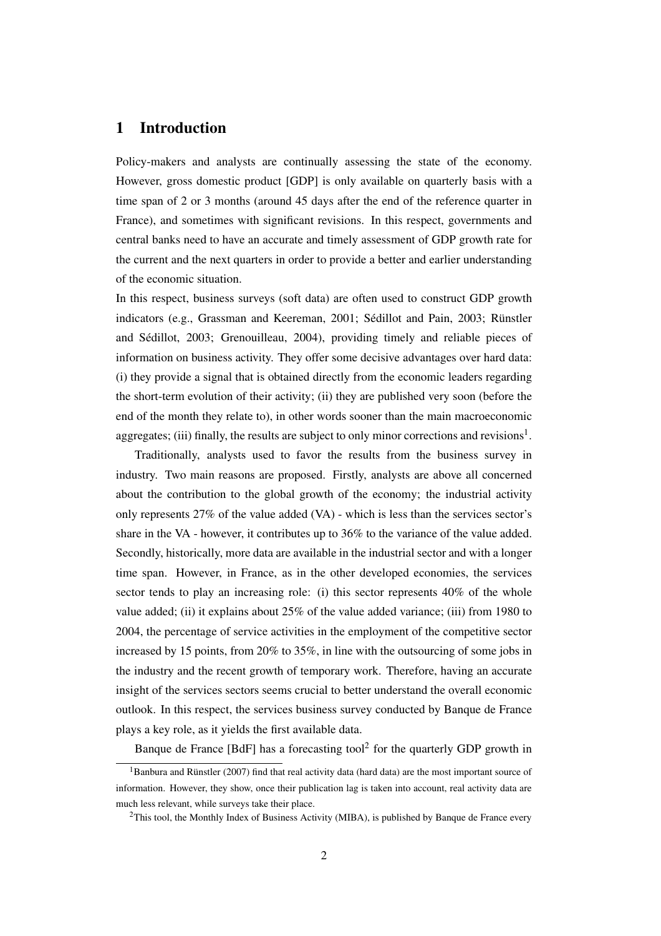### 1 Introduction

Policy-makers and analysts are continually assessing the state of the economy. However, gross domestic product [GDP] is only available on quarterly basis with a time span of 2 or 3 months (around 45 days after the end of the reference quarter in France), and sometimes with significant revisions. In this respect, governments and central banks need to have an accurate and timely assessment of GDP growth rate for the current and the next quarters in order to provide a better and earlier understanding of the economic situation.

In this respect, business surveys (soft data) are often used to construct GDP growth indicators (e.g., Grassman and Keereman, 2001; Sédillot and Pain, 2003; Rünstler and Sédillot, 2003; Grenouilleau, 2004), providing timely and reliable pieces of information on business activity. They offer some decisive advantages over hard data: (i) they provide a signal that is obtained directly from the economic leaders regarding the short-term evolution of their activity; (ii) they are published very soon (before the end of the month they relate to), in other words sooner than the main macroeconomic aggregates; (iii) finally, the results are subject to only minor corrections and revisions<sup>1</sup>.

Traditionally, analysts used to favor the results from the business survey in industry. Two main reasons are proposed. Firstly, analysts are above all concerned about the contribution to the global growth of the economy; the industrial activity only represents 27% of the value added (VA) - which is less than the services sector's share in the VA - however, it contributes up to 36% to the variance of the value added. Secondly, historically, more data are available in the industrial sector and with a longer time span. However, in France, as in the other developed economies, the services sector tends to play an increasing role: (i) this sector represents  $40\%$  of the whole value added; (ii) it explains about 25% of the value added variance; (iii) from 1980 to 2004, the percentage of service activities in the employment of the competitive sector increased by 15 points, from 20% to 35%, in line with the outsourcing of some jobs in the industry and the recent growth of temporary work. Therefore, having an accurate insight of the services sectors seems crucial to better understand the overall economic outlook. In this respect, the services business survey conducted by Banque de France plays a key role, as it yields the first available data.

Banque de France [BdF] has a forecasting tool<sup>2</sup> for the quarterly GDP growth in

 $1$ Banbura and Rünstler (2007) find that real activity data (hard data) are the most important source of information. However, they show, once their publication lag is taken into account, real activity data are much less relevant, while surveys take their place.

 $2$ This tool, the Monthly Index of Business Activity (MIBA), is published by Banque de France every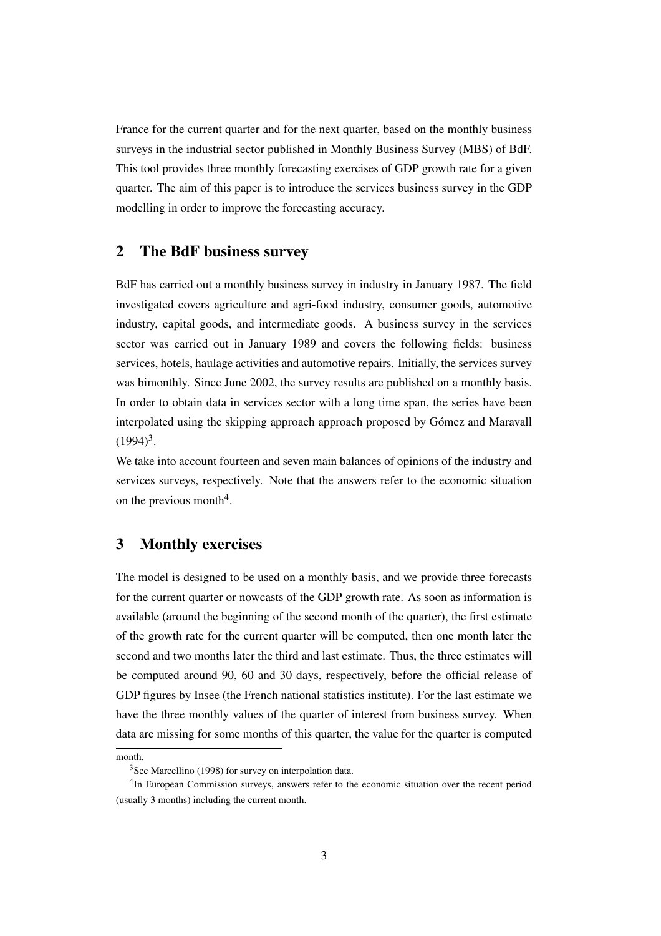France for the current quarter and for the next quarter, based on the monthly business surveys in the industrial sector published in Monthly Business Survey (MBS) of BdF. This tool provides three monthly forecasting exercises of GDP growth rate for a given quarter. The aim of this paper is to introduce the services business survey in the GDP modelling in order to improve the forecasting accuracy.

#### 2 The BdF business survey

BdF has carried out a monthly business survey in industry in January 1987. The field investigated covers agriculture and agri-food industry, consumer goods, automotive industry, capital goods, and intermediate goods. A business survey in the services sector was carried out in January 1989 and covers the following fields: business services, hotels, haulage activities and automotive repairs. Initially, the services survey was bimonthly. Since June 2002, the survey results are published on a monthly basis. In order to obtain data in services sector with a long time span, the series have been interpolated using the skipping approach approach proposed by Gómez and Maravall  $(1994)^3$ .

We take into account fourteen and seven main balances of opinions of the industry and services surveys, respectively. Note that the answers refer to the economic situation on the previous month<sup>4</sup>.

### 3 Monthly exercises

The model is designed to be used on a monthly basis, and we provide three forecasts for the current quarter or nowcasts of the GDP growth rate. As soon as information is available (around the beginning of the second month of the quarter), the first estimate of the growth rate for the current quarter will be computed, then one month later the second and two months later the third and last estimate. Thus, the three estimates will be computed around 90, 60 and 30 days, respectively, before the official release of GDP figures by Insee (the French national statistics institute). For the last estimate we have the three monthly values of the quarter of interest from business survey. When data are missing for some months of this quarter, the value for the quarter is computed

month.

<sup>&</sup>lt;sup>3</sup>See Marcellino (1998) for survey on interpolation data.

<sup>&</sup>lt;sup>4</sup>In European Commission surveys, answers refer to the economic situation over the recent period (usually 3 months) including the current month.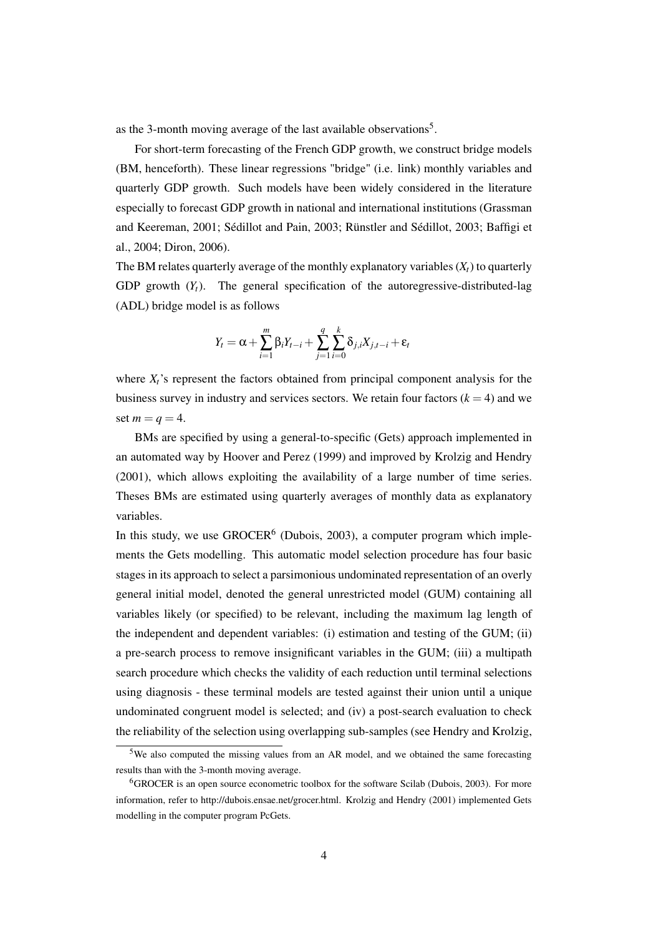as the 3-month moving average of the last available observations<sup>5</sup>.

For short-term forecasting of the French GDP growth, we construct bridge models (BM, henceforth). These linear regressions "bridge" (i.e. link) monthly variables and quarterly GDP growth. Such models have been widely considered in the literature especially to forecast GDP growth in national and international institutions (Grassman and Keereman, 2001; Sédillot and Pain, 2003; Rünstler and Sédillot, 2003; Baffigi et al., 2004; Diron, 2006).

The BM relates quarterly average of the monthly explanatory variables  $(X_t)$  to quarterly GDP growth  $(Y_t)$ . The general specification of the autoregressive-distributed-lag (ADL) bridge model is as follows

$$
Y_t = \alpha + \sum_{i=1}^m \beta_i Y_{t-i} + \sum_{j=1}^q \sum_{i=0}^k \delta_{j,i} X_{j,t-i} + \varepsilon_t
$$

where  $X_t$ 's represent the factors obtained from principal component analysis for the business survey in industry and services sectors. We retain four factors  $(k = 4)$  and we set  $m = a = 4$ .

BMs are specified by using a general-to-specific (Gets) approach implemented in an automated way by Hoover and Perez (1999) and improved by Krolzig and Hendry (2001), which allows exploiting the availability of a large number of time series. Theses BMs are estimated using quarterly averages of monthly data as explanatory variables.

In this study, we use  $GROCER^6$  (Dubois, 2003), a computer program which implements the Gets modelling. This automatic model selection procedure has four basic stages in its approach to select a parsimonious undominated representation of an overly general initial model, denoted the general unrestricted model (GUM) containing all variables likely (or specified) to be relevant, including the maximum lag length of the independent and dependent variables: (i) estimation and testing of the GUM; (ii) a pre-search process to remove insignificant variables in the GUM; (iii) a multipath search procedure which checks the validity of each reduction until terminal selections using diagnosis - these terminal models are tested against their union until a unique undominated congruent model is selected; and (iv) a post-search evaluation to check the reliability of the selection using overlapping sub-samples (see Hendry and Krolzig,

<sup>5</sup>We also computed the missing values from an AR model, and we obtained the same forecasting results than with the 3-month moving average.

<sup>&</sup>lt;sup>6</sup>GROCER is an open source econometric toolbox for the software Scilab (Dubois, 2003). For more information, refer to http://dubois.ensae.net/grocer.html. Krolzig and Hendry (2001) implemented Gets modelling in the computer program PcGets.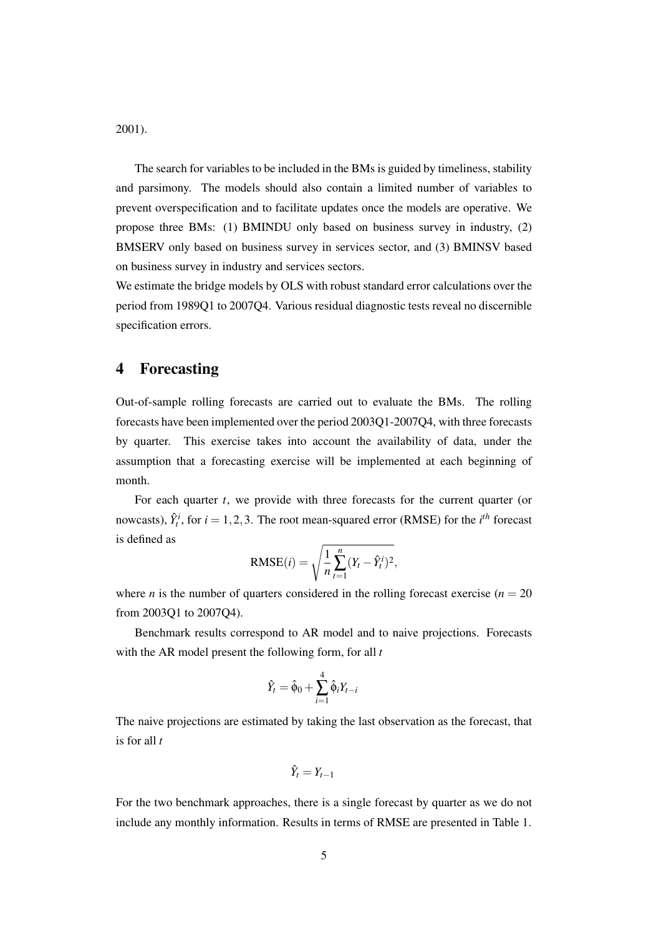2001).

The search for variables to be included in the BMs is guided by timeliness, stability and parsimony. The models should also contain a limited number of variables to prevent overspecification and to facilitate updates once the models are operative. We propose three BMs: (1) BMINDU only based on business survey in industry, (2) BMSERV only based on business survey in services sector, and (3) BMINSV based on business survey in industry and services sectors.

We estimate the bridge models by OLS with robust standard error calculations over the period from 1989Q1 to 2007Q4. Various residual diagnostic tests reveal no discernible specification errors.

#### 4 Forecasting

Out-of-sample rolling forecasts are carried out to evaluate the BMs. The rolling forecasts have been implemented over the period 2003Q1-2007Q4, with three forecasts by quarter. This exercise takes into account the availability of data, under the assumption that a forecasting exercise will be implemented at each beginning of month.

For each quarter *t*, we provide with three forecasts for the current quarter (or nowcasts),  $\hat{Y}^i_t$ , for  $i = 1, 2, 3$ . The root mean-squared error (RMSE) for the *i*<sup>th</sup> forecast is defined as

$$
RMSE(i) = \sqrt{\frac{1}{n} \sum_{t=1}^{n} (Y_t - \hat{Y}_t^i)^2},
$$

where *n* is the number of quarters considered in the rolling forecast exercise ( $n = 20$ ) from 2003Q1 to 2007Q4).

Benchmark results correspond to AR model and to naive projections. Forecasts with the AR model present the following form, for all *t*

$$
\hat{Y}_t = \hat{\phi}_0 + \sum_{i=1}^4 \hat{\phi}_i Y_{t-i}
$$

The naive projections are estimated by taking the last observation as the forecast, that is for all *t*

$$
\hat{Y}_t = Y_{t-1}
$$

For the two benchmark approaches, there is a single forecast by quarter as we do not include any monthly information. Results in terms of RMSE are presented in Table 1.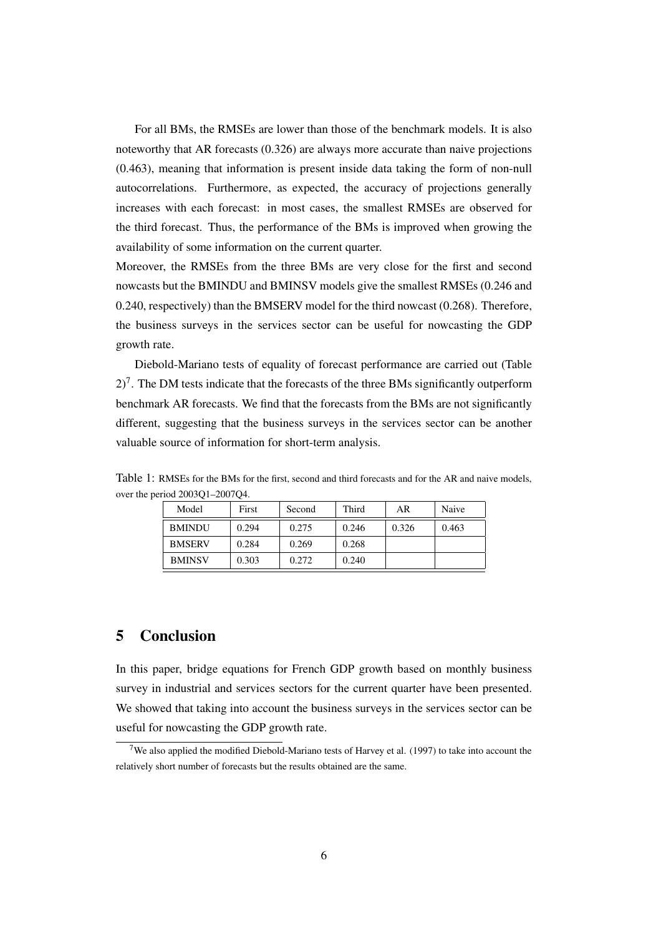For all BMs, the RMSEs are lower than those of the benchmark models. It is also noteworthy that AR forecasts (0.326) are always more accurate than naive projections (0.463), meaning that information is present inside data taking the form of non-null autocorrelations. Furthermore, as expected, the accuracy of projections generally increases with each forecast: in most cases, the smallest RMSEs are observed for the third forecast. Thus, the performance of the BMs is improved when growing the availability of some information on the current quarter.

Moreover, the RMSEs from the three BMs are very close for the first and second nowcasts but the BMINDU and BMINSV models give the smallest RMSEs (0.246 and 0.240, respectively) than the BMSERV model for the third nowcast (0.268). Therefore, the business surveys in the services sector can be useful for nowcasting the GDP growth rate.

Diebold-Mariano tests of equality of forecast performance are carried out (Table  $2$ <sup>7</sup>. The DM tests indicate that the forecasts of the three BMs significantly outperform benchmark AR forecasts. We find that the forecasts from the BMs are not significantly different, suggesting that the business surveys in the services sector can be another valuable source of information for short-term analysis.

| Model         | First | Second | Third | AR    | Naive |
|---------------|-------|--------|-------|-------|-------|
| <b>BMINDU</b> | 0.294 | 0.275  | 0.246 | 0.326 | 0.463 |
| <b>BMSERV</b> | 0.284 | 0.269  | 0.268 |       |       |
| <b>BMINSV</b> | 0.303 | 0.272  | 0.240 |       |       |

Table 1: RMSEs for the BMs for the first, second and third forecasts and for the AR and naive models, over the period 2003Q1–2007Q4.

### 5 Conclusion

In this paper, bridge equations for French GDP growth based on monthly business survey in industrial and services sectors for the current quarter have been presented. We showed that taking into account the business surveys in the services sector can be useful for nowcasting the GDP growth rate.

<sup>&</sup>lt;sup>7</sup>We also applied the modified Diebold-Mariano tests of Harvey et al. (1997) to take into account the relatively short number of forecasts but the results obtained are the same.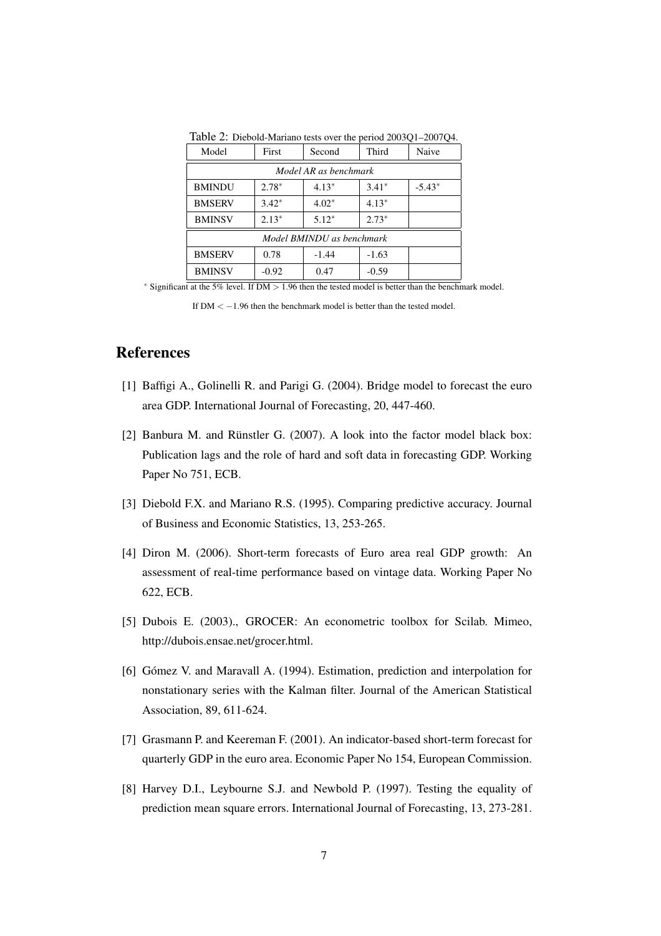| Model                     | First   | Second  | Third   | Naive    |  |  |  |
|---------------------------|---------|---------|---------|----------|--|--|--|
| Model AR as benchmark     |         |         |         |          |  |  |  |
| <b>BMINDU</b>             | $2.78*$ | $4.13*$ | $3.41*$ | $-5.43*$ |  |  |  |
| <b>BMSERV</b>             | $3.42*$ | $4.02*$ | $4.13*$ |          |  |  |  |
| <b>BMINSV</b>             | $2.13*$ | $5.12*$ | $2.73*$ |          |  |  |  |
| Model BMINDU as benchmark |         |         |         |          |  |  |  |
| <b>BMSERV</b>             | 0.78    | $-1.44$ | $-1.63$ |          |  |  |  |
| <b>BMINSV</b>             | $-0.92$ | 0.47    | $-0.59$ |          |  |  |  |

Table 2: Diebold-Mariano tests over the period 2003Q1–2007Q4.

<sup>∗</sup> Significant at the 5% level. If DM > 1.96 then the tested model is better than the benchmark model.

#### References

- [1] Baffigi A., Golinelli R. and Parigi G. (2004). Bridge model to forecast the euro area GDP. International Journal of Forecasting, 20, 447-460.
- [2] Banbura M. and Rünstler G. (2007). A look into the factor model black box: Publication lags and the role of hard and soft data in forecasting GDP. Working Paper No 751, ECB.
- [3] Diebold F.X. and Mariano R.S. (1995). Comparing predictive accuracy. Journal of Business and Economic Statistics, 13, 253-265.
- [4] Diron M. (2006). Short-term forecasts of Euro area real GDP growth: An assessment of real-time performance based on vintage data. Working Paper No 622, ECB.
- [5] Dubois E. (2003)., GROCER: An econometric toolbox for Scilab. Mimeo, http://dubois.ensae.net/grocer.html.
- [6] Gómez V. and Maravall A. (1994). Estimation, prediction and interpolation for nonstationary series with the Kalman filter. Journal of the American Statistical Association, 89, 611-624.
- [7] Grasmann P. and Keereman F. (2001). An indicator-based short-term forecast for quarterly GDP in the euro area. Economic Paper No 154, European Commission.
- [8] Harvey D.I., Leybourne S.J. and Newbold P. (1997). Testing the equality of prediction mean square errors. International Journal of Forecasting, 13, 273-281.

If  $DM < -1.96$  then the benchmark model is better than the tested model.